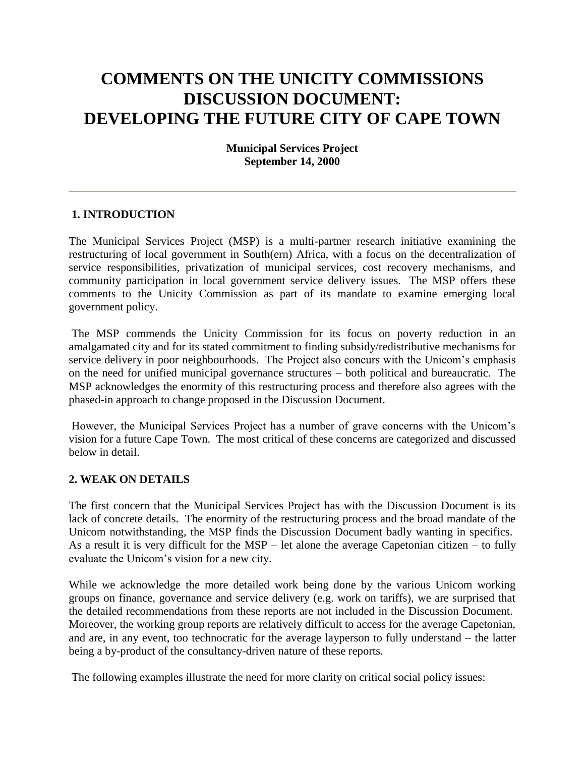# **COMMENTS ON THE UNICITY COMMISSIONS DISCUSSION DOCUMENT: DEVELOPING THE FUTURE CITY OF CAPE TOWN**

# **Municipal Services Project September 14, 2000**

### **1. INTRODUCTION**

The Municipal Services Project (MSP) is a multi-partner research initiative examining the restructuring of local government in South(ern) Africa, with a focus on the decentralization of service responsibilities, privatization of municipal services, cost recovery mechanisms, and community participation in local government service delivery issues. The MSP offers these comments to the Unicity Commission as part of its mandate to examine emerging local government policy.

The MSP commends the Unicity Commission for its focus on poverty reduction in an amalgamated city and for its stated commitment to finding subsidy/redistributive mechanisms for service delivery in poor neighbourhoods. The Project also concurs with the Unicom's emphasis on the need for unified municipal governance structures – both political and bureaucratic. The MSP acknowledges the enormity of this restructuring process and therefore also agrees with the phased-in approach to change proposed in the Discussion Document.

However, the Municipal Services Project has a number of grave concerns with the Unicom's vision for a future Cape Town. The most critical of these concerns are categorized and discussed below in detail.

#### **2. WEAK ON DETAILS**

The first concern that the Municipal Services Project has with the Discussion Document is its lack of concrete details. The enormity of the restructuring process and the broad mandate of the Unicom notwithstanding, the MSP finds the Discussion Document badly wanting in specifics. As a result it is very difficult for the MSP – let alone the average Capetonian citizen – to fully evaluate the Unicom's vision for a new city.

While we acknowledge the more detailed work being done by the various Unicom working groups on finance, governance and service delivery (e.g. work on tariffs), we are surprised that the detailed recommendations from these reports are not included in the Discussion Document. Moreover, the working group reports are relatively difficult to access for the average Capetonian, and are, in any event, too technocratic for the average layperson to fully understand – the latter being a by-product of the consultancy-driven nature of these reports.

The following examples illustrate the need for more clarity on critical social policy issues: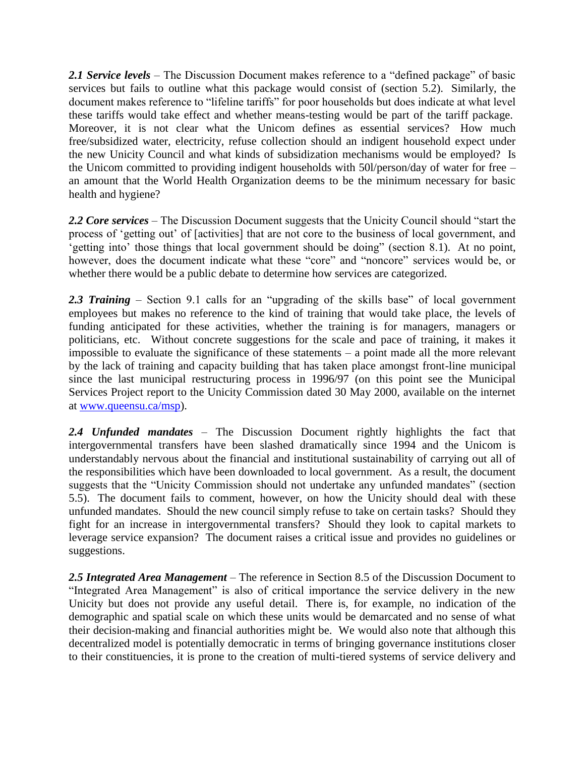*2.1 Service levels* – The Discussion Document makes reference to a "defined package" of basic services but fails to outline what this package would consist of (section 5.2). Similarly, the document makes reference to "lifeline tariffs" for poor households but does indicate at what level these tariffs would take effect and whether means-testing would be part of the tariff package. Moreover, it is not clear what the Unicom defines as essential services? How much free/subsidized water, electricity, refuse collection should an indigent household expect under the new Unicity Council and what kinds of subsidization mechanisms would be employed? Is the Unicom committed to providing indigent households with 50l/person/day of water for free – an amount that the World Health Organization deems to be the minimum necessary for basic health and hygiene?

*2.2 Core services* – The Discussion Document suggests that the Unicity Council should "start the process of 'getting out' of [activities] that are not core to the business of local government, and 'getting into' those things that local government should be doing" (section 8.1). At no point, however, does the document indicate what these "core" and "noncore" services would be, or whether there would be a public debate to determine how services are categorized.

2.3 Training – Section 9.1 calls for an "upgrading of the skills base" of local government employees but makes no reference to the kind of training that would take place, the levels of funding anticipated for these activities, whether the training is for managers, managers or politicians, etc. Without concrete suggestions for the scale and pace of training, it makes it impossible to evaluate the significance of these statements  $-$  a point made all the more relevant by the lack of training and capacity building that has taken place amongst front-line municipal since the last municipal restructuring process in 1996/97 (on this point see the Municipal Services Project report to the Unicity Commission dated 30 May 2000, available on the internet at [www.queensu.ca/msp\)](http://www.queensu.ca/msp).

*2.4 Unfunded mandates* – The Discussion Document rightly highlights the fact that intergovernmental transfers have been slashed dramatically since 1994 and the Unicom is understandably nervous about the financial and institutional sustainability of carrying out all of the responsibilities which have been downloaded to local government. As a result, the document suggests that the "Unicity Commission should not undertake any unfunded mandates" (section 5.5). The document fails to comment, however, on how the Unicity should deal with these unfunded mandates. Should the new council simply refuse to take on certain tasks? Should they fight for an increase in intergovernmental transfers? Should they look to capital markets to leverage service expansion? The document raises a critical issue and provides no guidelines or suggestions.

*2.5 Integrated Area Management* – The reference in Section 8.5 of the Discussion Document to "Integrated Area Management" is also of critical importance the service delivery in the new Unicity but does not provide any useful detail. There is, for example, no indication of the demographic and spatial scale on which these units would be demarcated and no sense of what their decision-making and financial authorities might be. We would also note that although this decentralized model is potentially democratic in terms of bringing governance institutions closer to their constituencies, it is prone to the creation of multi-tiered systems of service delivery and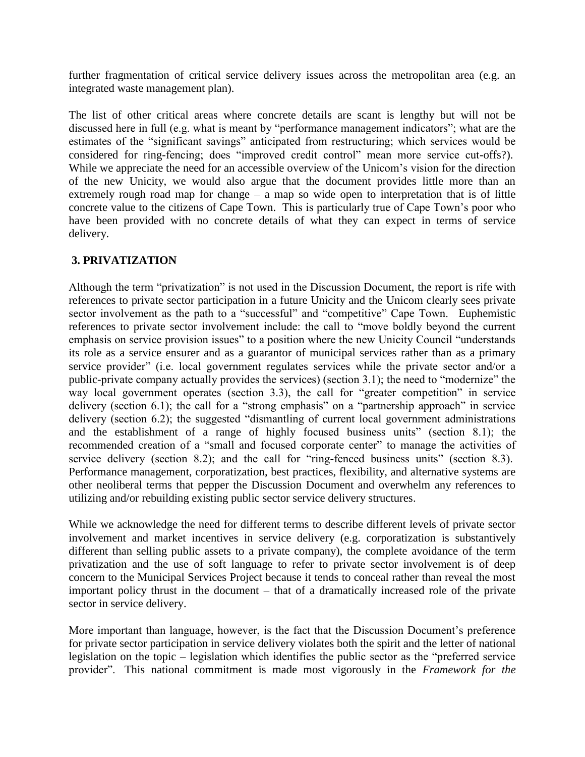further fragmentation of critical service delivery issues across the metropolitan area (e.g. an integrated waste management plan).

The list of other critical areas where concrete details are scant is lengthy but will not be discussed here in full (e.g. what is meant by "performance management indicators"; what are the estimates of the "significant savings" anticipated from restructuring; which services would be considered for ring-fencing; does "improved credit control" mean more service cut-offs?). While we appreciate the need for an accessible overview of the Unicom's vision for the direction of the new Unicity, we would also argue that the document provides little more than an extremely rough road map for change – a map so wide open to interpretation that is of little concrete value to the citizens of Cape Town. This is particularly true of Cape Town's poor who have been provided with no concrete details of what they can expect in terms of service delivery.

# **3. PRIVATIZATION**

Although the term "privatization" is not used in the Discussion Document, the report is rife with references to private sector participation in a future Unicity and the Unicom clearly sees private sector involvement as the path to a "successful" and "competitive" Cape Town. Euphemistic references to private sector involvement include: the call to "move boldly beyond the current emphasis on service provision issues" to a position where the new Unicity Council "understands its role as a service ensurer and as a guarantor of municipal services rather than as a primary service provider" (i.e. local government regulates services while the private sector and/or a public-private company actually provides the services) (section 3.1); the need to "modernize" the way local government operates (section 3.3), the call for "greater competition" in service delivery (section 6.1); the call for a "strong emphasis" on a "partnership approach" in service delivery (section 6.2); the suggested "dismantling of current local government administrations and the establishment of a range of highly focused business units" (section 8.1); the recommended creation of a "small and focused corporate center" to manage the activities of service delivery (section 8.2); and the call for "ring-fenced business units" (section 8.3). Performance management, corporatization, best practices, flexibility, and alternative systems are other neoliberal terms that pepper the Discussion Document and overwhelm any references to utilizing and/or rebuilding existing public sector service delivery structures.

While we acknowledge the need for different terms to describe different levels of private sector involvement and market incentives in service delivery (e.g. corporatization is substantively different than selling public assets to a private company), the complete avoidance of the term privatization and the use of soft language to refer to private sector involvement is of deep concern to the Municipal Services Project because it tends to conceal rather than reveal the most important policy thrust in the document – that of a dramatically increased role of the private sector in service delivery.

More important than language, however, is the fact that the Discussion Document's preference for private sector participation in service delivery violates both the spirit and the letter of national legislation on the topic – legislation which identifies the public sector as the "preferred service provider". This national commitment is made most vigorously in the *Framework for the*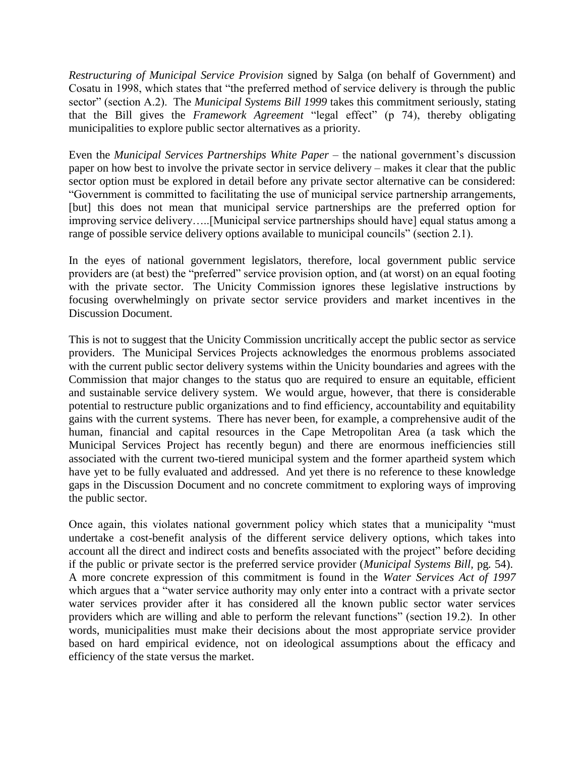*Restructuring of Municipal Service Provision* signed by Salga (on behalf of Government) and Cosatu in 1998, which states that "the preferred method of service delivery is through the public sector" (section A.2). The *Municipal Systems Bill 1999* takes this commitment seriously, stating that the Bill gives the *Framework Agreement* "legal effect" (p 74), thereby obligating municipalities to explore public sector alternatives as a priority.

Even the *Municipal Services Partnerships White Paper* – the national government's discussion paper on how best to involve the private sector in service delivery – makes it clear that the public sector option must be explored in detail before any private sector alternative can be considered: "Government is committed to facilitating the use of municipal service partnership arrangements, [but] this does not mean that municipal service partnerships are the preferred option for improving service delivery…..[Municipal service partnerships should have] equal status among a range of possible service delivery options available to municipal councils" (section 2.1).

In the eyes of national government legislators, therefore, local government public service providers are (at best) the "preferred" service provision option, and (at worst) on an equal footing with the private sector. The Unicity Commission ignores these legislative instructions by focusing overwhelmingly on private sector service providers and market incentives in the Discussion Document.

This is not to suggest that the Unicity Commission uncritically accept the public sector as service providers. The Municipal Services Projects acknowledges the enormous problems associated with the current public sector delivery systems within the Unicity boundaries and agrees with the Commission that major changes to the status quo are required to ensure an equitable, efficient and sustainable service delivery system. We would argue, however, that there is considerable potential to restructure public organizations and to find efficiency, accountability and equitability gains with the current systems. There has never been, for example, a comprehensive audit of the human, financial and capital resources in the Cape Metropolitan Area (a task which the Municipal Services Project has recently begun) and there are enormous inefficiencies still associated with the current two-tiered municipal system and the former apartheid system which have yet to be fully evaluated and addressed. And yet there is no reference to these knowledge gaps in the Discussion Document and no concrete commitment to exploring ways of improving the public sector.

Once again, this violates national government policy which states that a municipality "must undertake a cost-benefit analysis of the different service delivery options, which takes into account all the direct and indirect costs and benefits associated with the project" before deciding if the public or private sector is the preferred service provider (*Municipal Systems Bill,* pg*.* 54). A more concrete expression of this commitment is found in the *Water Services Act of 1997* which argues that a "water service authority may only enter into a contract with a private sector water services provider after it has considered all the known public sector water services providers which are willing and able to perform the relevant functions" (section 19.2). In other words, municipalities must make their decisions about the most appropriate service provider based on hard empirical evidence, not on ideological assumptions about the efficacy and efficiency of the state versus the market.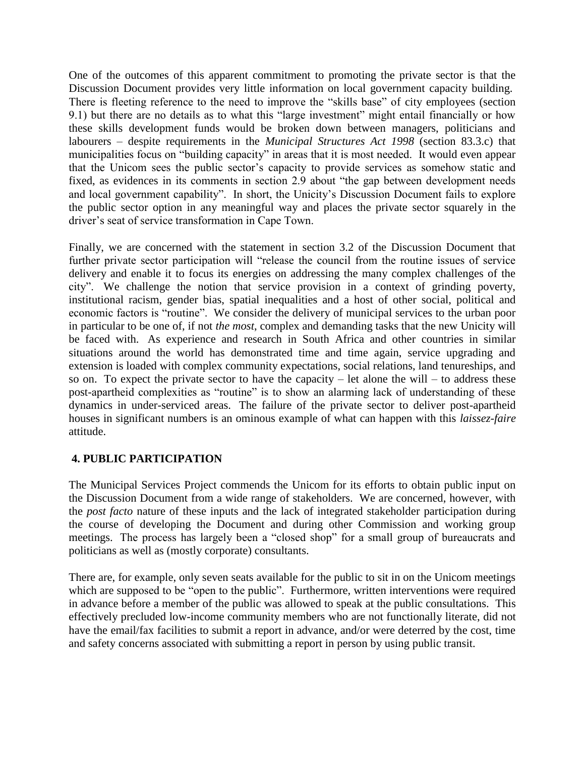One of the outcomes of this apparent commitment to promoting the private sector is that the Discussion Document provides very little information on local government capacity building. There is fleeting reference to the need to improve the "skills base" of city employees (section 9.1) but there are no details as to what this "large investment" might entail financially or how these skills development funds would be broken down between managers, politicians and labourers – despite requirements in the *Municipal Structures Act 1998* (section 83.3.c) that municipalities focus on "building capacity" in areas that it is most needed. It would even appear that the Unicom sees the public sector's capacity to provide services as somehow static and fixed, as evidences in its comments in section 2.9 about "the gap between development needs and local government capability". In short, the Unicity's Discussion Document fails to explore the public sector option in any meaningful way and places the private sector squarely in the driver's seat of service transformation in Cape Town.

Finally, we are concerned with the statement in section 3.2 of the Discussion Document that further private sector participation will "release the council from the routine issues of service delivery and enable it to focus its energies on addressing the many complex challenges of the city". We challenge the notion that service provision in a context of grinding poverty, institutional racism, gender bias, spatial inequalities and a host of other social, political and economic factors is "routine". We consider the delivery of municipal services to the urban poor in particular to be one of, if not *the most*, complex and demanding tasks that the new Unicity will be faced with. As experience and research in South Africa and other countries in similar situations around the world has demonstrated time and time again, service upgrading and extension is loaded with complex community expectations, social relations, land tenureships, and so on. To expect the private sector to have the capacity – let alone the will – to address these post-apartheid complexities as "routine" is to show an alarming lack of understanding of these dynamics in under-serviced areas. The failure of the private sector to deliver post-apartheid houses in significant numbers is an ominous example of what can happen with this *laissez-faire* attitude.

# **4. PUBLIC PARTICIPATION**

The Municipal Services Project commends the Unicom for its efforts to obtain public input on the Discussion Document from a wide range of stakeholders. We are concerned, however, with the *post facto* nature of these inputs and the lack of integrated stakeholder participation during the course of developing the Document and during other Commission and working group meetings. The process has largely been a "closed shop" for a small group of bureaucrats and politicians as well as (mostly corporate) consultants.

There are, for example, only seven seats available for the public to sit in on the Unicom meetings which are supposed to be "open to the public". Furthermore, written interventions were required in advance before a member of the public was allowed to speak at the public consultations. This effectively precluded low-income community members who are not functionally literate, did not have the email/fax facilities to submit a report in advance, and/or were deterred by the cost, time and safety concerns associated with submitting a report in person by using public transit.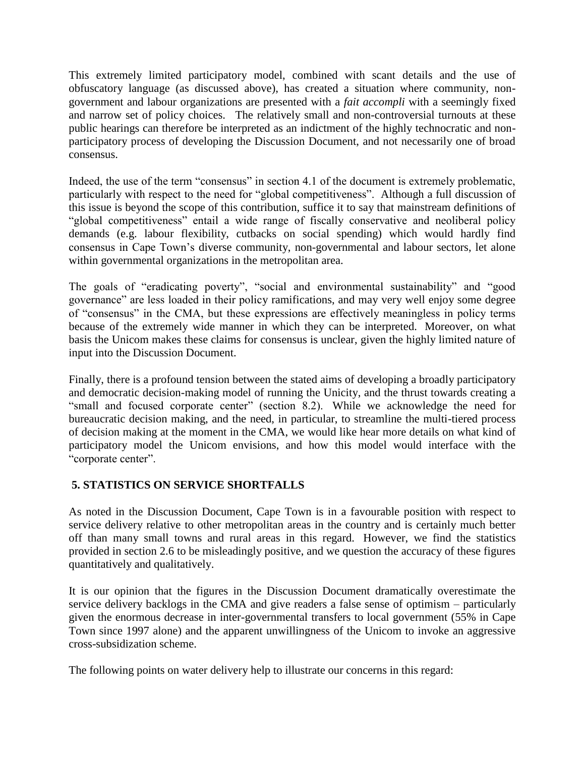This extremely limited participatory model, combined with scant details and the use of obfuscatory language (as discussed above), has created a situation where community, nongovernment and labour organizations are presented with a *fait accompli* with a seemingly fixed and narrow set of policy choices. The relatively small and non-controversial turnouts at these public hearings can therefore be interpreted as an indictment of the highly technocratic and nonparticipatory process of developing the Discussion Document, and not necessarily one of broad consensus.

Indeed, the use of the term "consensus" in section 4.1 of the document is extremely problematic, particularly with respect to the need for "global competitiveness". Although a full discussion of this issue is beyond the scope of this contribution, suffice it to say that mainstream definitions of "global competitiveness" entail a wide range of fiscally conservative and neoliberal policy demands (e.g. labour flexibility, cutbacks on social spending) which would hardly find consensus in Cape Town's diverse community, non-governmental and labour sectors, let alone within governmental organizations in the metropolitan area.

The goals of "eradicating poverty", "social and environmental sustainability" and "good governance" are less loaded in their policy ramifications, and may very well enjoy some degree of "consensus" in the CMA, but these expressions are effectively meaningless in policy terms because of the extremely wide manner in which they can be interpreted. Moreover, on what basis the Unicom makes these claims for consensus is unclear, given the highly limited nature of input into the Discussion Document.

Finally, there is a profound tension between the stated aims of developing a broadly participatory and democratic decision-making model of running the Unicity, and the thrust towards creating a "small and focused corporate center" (section 8.2). While we acknowledge the need for bureaucratic decision making, and the need, in particular, to streamline the multi-tiered process of decision making at the moment in the CMA, we would like hear more details on what kind of participatory model the Unicom envisions, and how this model would interface with the "corporate center".

# **5. STATISTICS ON SERVICE SHORTFALLS**

As noted in the Discussion Document, Cape Town is in a favourable position with respect to service delivery relative to other metropolitan areas in the country and is certainly much better off than many small towns and rural areas in this regard. However, we find the statistics provided in section 2.6 to be misleadingly positive, and we question the accuracy of these figures quantitatively and qualitatively.

It is our opinion that the figures in the Discussion Document dramatically overestimate the service delivery backlogs in the CMA and give readers a false sense of optimism – particularly given the enormous decrease in inter-governmental transfers to local government (55% in Cape Town since 1997 alone) and the apparent unwillingness of the Unicom to invoke an aggressive cross-subsidization scheme.

The following points on water delivery help to illustrate our concerns in this regard: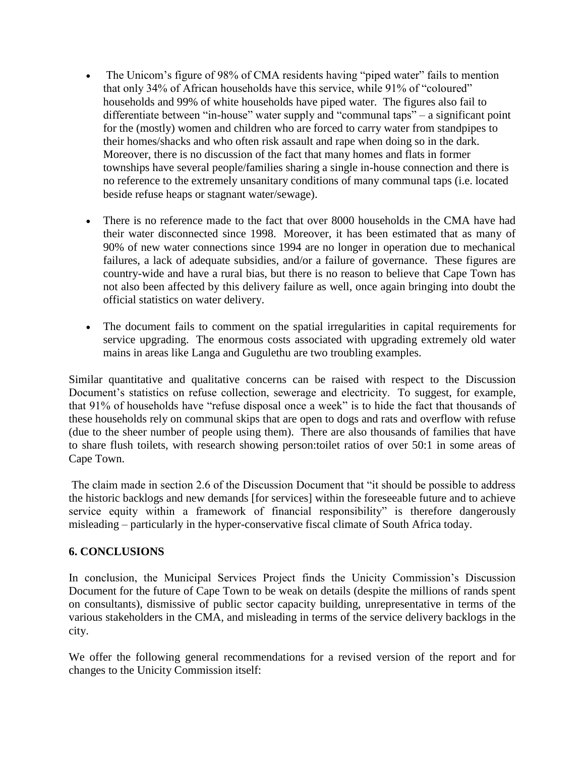- The Unicom's figure of 98% of CMA residents having "piped water" fails to mention that only 34% of African households have this service, while 91% of "coloured" households and 99% of white households have piped water. The figures also fail to differentiate between "in-house" water supply and "communal taps" – a significant point for the (mostly) women and children who are forced to carry water from standpipes to their homes/shacks and who often risk assault and rape when doing so in the dark. Moreover, there is no discussion of the fact that many homes and flats in former townships have several people/families sharing a single in-house connection and there is no reference to the extremely unsanitary conditions of many communal taps (i.e. located beside refuse heaps or stagnant water/sewage).
- There is no reference made to the fact that over 8000 households in the CMA have had their water disconnected since 1998. Moreover, it has been estimated that as many of 90% of new water connections since 1994 are no longer in operation due to mechanical failures, a lack of adequate subsidies, and/or a failure of governance. These figures are country-wide and have a rural bias, but there is no reason to believe that Cape Town has not also been affected by this delivery failure as well, once again bringing into doubt the official statistics on water delivery.
- The document fails to comment on the spatial irregularities in capital requirements for service upgrading. The enormous costs associated with upgrading extremely old water mains in areas like Langa and Gugulethu are two troubling examples.

Similar quantitative and qualitative concerns can be raised with respect to the Discussion Document's statistics on refuse collection, sewerage and electricity. To suggest, for example, that 91% of households have "refuse disposal once a week" is to hide the fact that thousands of these households rely on communal skips that are open to dogs and rats and overflow with refuse (due to the sheer number of people using them). There are also thousands of families that have to share flush toilets, with research showing person:toilet ratios of over 50:1 in some areas of Cape Town.

The claim made in section 2.6 of the Discussion Document that "it should be possible to address the historic backlogs and new demands [for services] within the foreseeable future and to achieve service equity within a framework of financial responsibility" is therefore dangerously misleading – particularly in the hyper-conservative fiscal climate of South Africa today.

# **6. CONCLUSIONS**

In conclusion, the Municipal Services Project finds the Unicity Commission's Discussion Document for the future of Cape Town to be weak on details (despite the millions of rands spent on consultants), dismissive of public sector capacity building, unrepresentative in terms of the various stakeholders in the CMA, and misleading in terms of the service delivery backlogs in the city.

We offer the following general recommendations for a revised version of the report and for changes to the Unicity Commission itself: